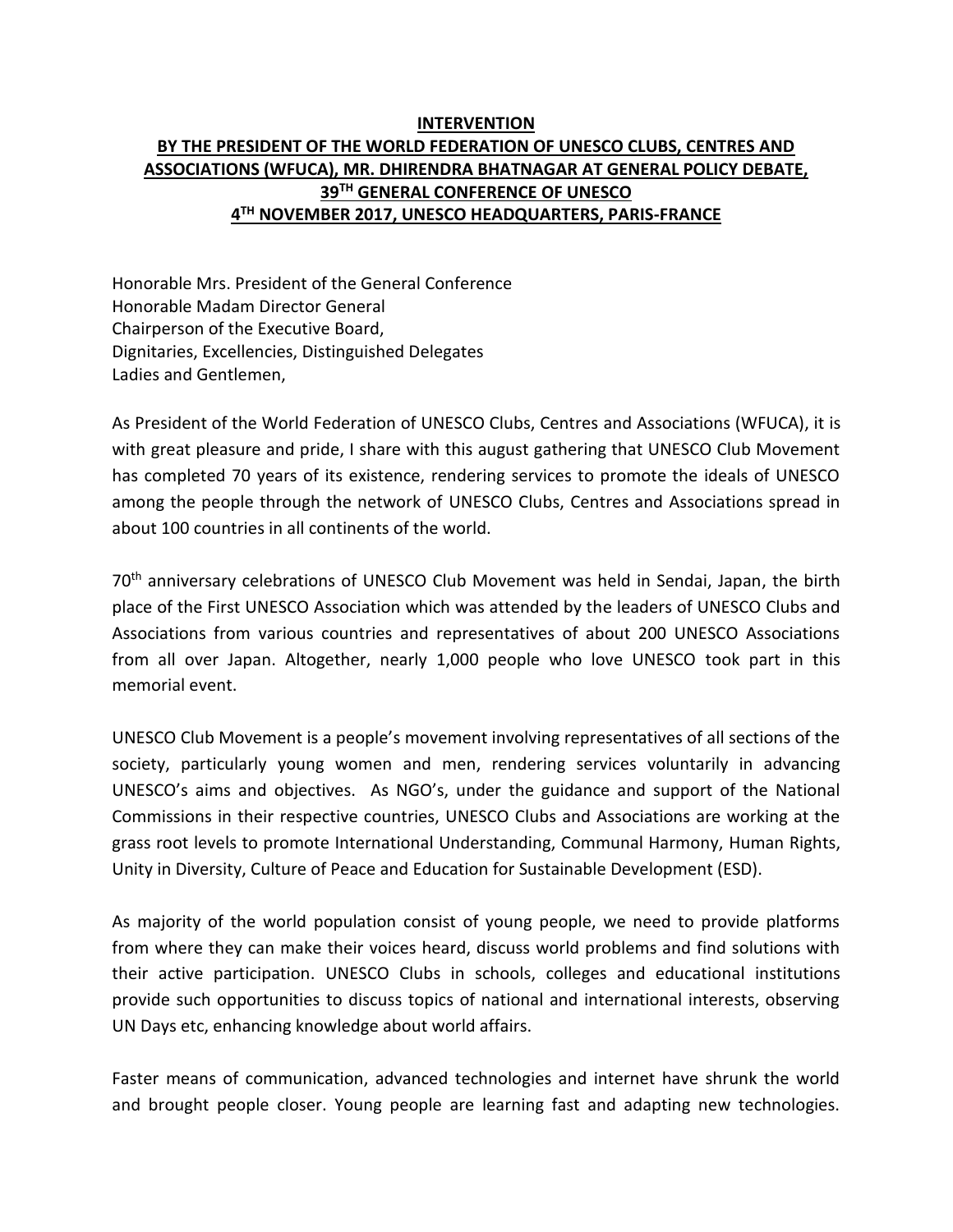## **INTERVENTION BY THE PRESIDENT OF THE WORLD FEDERATION OF UNESCO CLUBS, CENTRES AND ASSOCIATIONS (WFUCA), MR. DHIRENDRA BHATNAGAR AT GENERAL POLICY DEBATE, 39 TH GENERAL CONFERENCE OF UNESCO 4 TH NOVEMBER 2017, UNESCO HEADQUARTERS, PARIS-FRANCE**

Honorable Mrs. President of the General Conference Honorable Madam Director General Chairperson of the Executive Board, Dignitaries, Excellencies, Distinguished Delegates Ladies and Gentlemen,

As President of the World Federation of UNESCO Clubs, Centres and Associations (WFUCA), it is with great pleasure and pride, I share with this august gathering that UNESCO Club Movement has completed 70 years of its existence, rendering services to promote the ideals of UNESCO among the people through the network of UNESCO Clubs, Centres and Associations spread in about 100 countries in all continents of the world.

70<sup>th</sup> anniversary celebrations of UNESCO Club Movement was held in Sendai, Japan, the birth place of the First UNESCO Association which was attended by the leaders of UNESCO Clubs and Associations from various countries and representatives of about 200 UNESCO Associations from all over Japan. Altogether, nearly 1,000 people who love UNESCO took part in this memorial event.

UNESCO Club Movement is a people's movement involving representatives of all sections of the society, particularly young women and men, rendering services voluntarily in advancing UNESCO's aims and objectives. As NGO's, under the guidance and support of the National Commissions in their respective countries, UNESCO Clubs and Associations are working at the grass root levels to promote International Understanding, Communal Harmony, Human Rights, Unity in Diversity, Culture of Peace and Education for Sustainable Development (ESD).

As majority of the world population consist of young people, we need to provide platforms from where they can make their voices heard, discuss world problems and find solutions with their active participation. UNESCO Clubs in schools, colleges and educational institutions provide such opportunities to discuss topics of national and international interests, observing UN Days etc, enhancing knowledge about world affairs.

Faster means of communication, advanced technologies and internet have shrunk the world and brought people closer. Young people are learning fast and adapting new technologies.